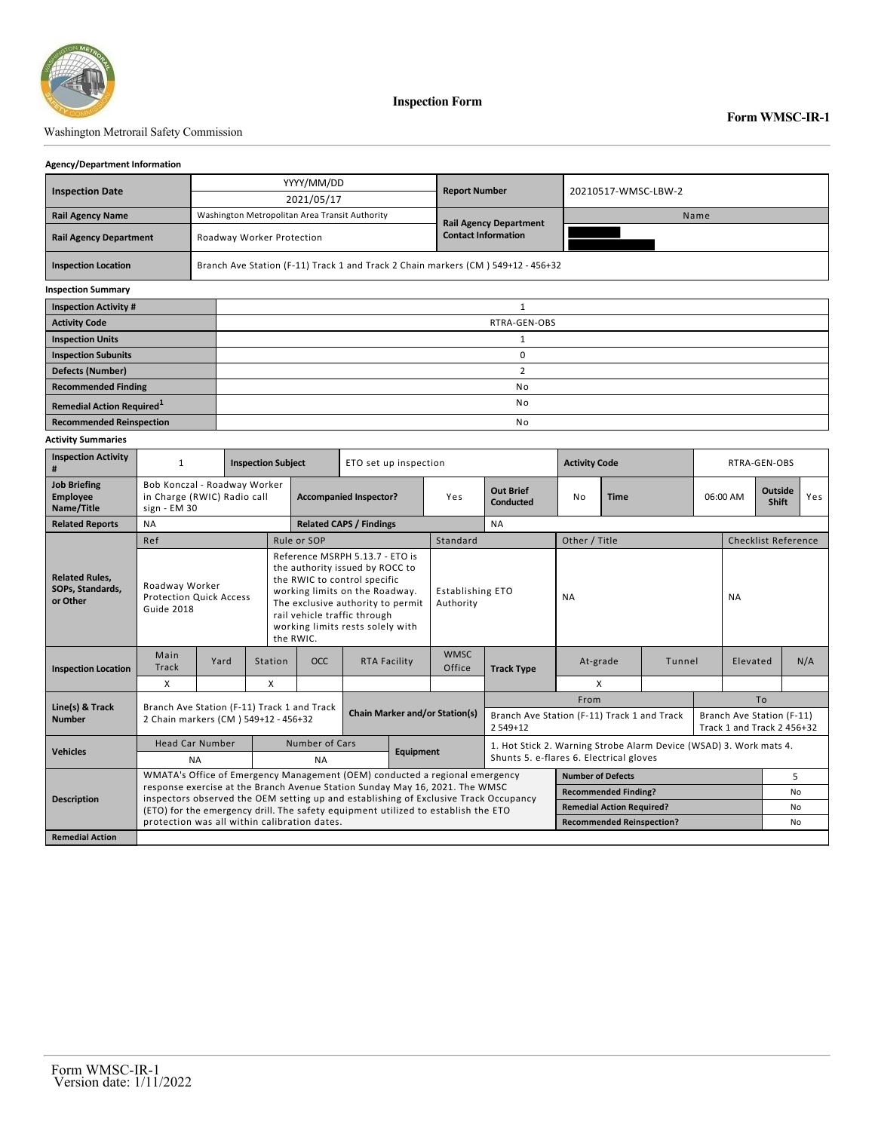

### Washington Metrorail Safety Commission

### **Agency/Department Information**

|                                              |    | YYYY/MM/DD                                                                       | <b>Report Number</b>          | 20210517-WMSC-LBW-2 |  |  |  |  |  |
|----------------------------------------------|----|----------------------------------------------------------------------------------|-------------------------------|---------------------|--|--|--|--|--|
| <b>Inspection Date</b>                       |    | 2021/05/17                                                                       |                               |                     |  |  |  |  |  |
| <b>Rail Agency Name</b>                      |    | Washington Metropolitan Area Transit Authority                                   | <b>Rail Agency Department</b> | Name                |  |  |  |  |  |
| <b>Rail Agency Department</b>                |    | Roadway Worker Protection                                                        | <b>Contact Information</b>    |                     |  |  |  |  |  |
| <b>Inspection Location</b>                   |    | Branch Ave Station (F-11) Track 1 and Track 2 Chain markers (CM) 549+12 - 456+32 |                               |                     |  |  |  |  |  |
| <b>Inspection Summary</b>                    |    |                                                                                  |                               |                     |  |  |  |  |  |
| <b>Inspection Activity #</b>                 |    |                                                                                  |                               |                     |  |  |  |  |  |
| <b>Activity Code</b>                         |    | RTRA-GEN-OBS                                                                     |                               |                     |  |  |  |  |  |
| <b>Inspection Units</b>                      |    |                                                                                  |                               |                     |  |  |  |  |  |
| <b>Inspection Subunits</b>                   |    | 0                                                                                |                               |                     |  |  |  |  |  |
| <b>Defects (Number)</b>                      |    | 2                                                                                |                               |                     |  |  |  |  |  |
| <b>Recommended Finding</b>                   |    | No                                                                               |                               |                     |  |  |  |  |  |
| <b>Remedial Action Required</b> <sup>1</sup> |    | No                                                                               |                               |                     |  |  |  |  |  |
| <b>Recommended Reinspection</b>              | No |                                                                                  |                               |                     |  |  |  |  |  |

### **Activity Summaries**

| <b>Inspection Activity</b><br>#                       | <b>Inspection Subject</b>                                                                                                                                            |      |         |                                                                                                                                                                                                                                                            | ETO set up inspection |                                       |                                      |                                                          | <b>Activity Code</b>                                               | RTRA-GEN-OBS             |          |                                                         |                            |                         |     |
|-------------------------------------------------------|----------------------------------------------------------------------------------------------------------------------------------------------------------------------|------|---------|------------------------------------------------------------------------------------------------------------------------------------------------------------------------------------------------------------------------------------------------------------|-----------------------|---------------------------------------|--------------------------------------|----------------------------------------------------------|--------------------------------------------------------------------|--------------------------|----------|---------------------------------------------------------|----------------------------|-------------------------|-----|
| <b>Job Briefing</b><br><b>Employee</b><br>Name/Title  | Bob Konczal - Roadway Worker<br>in Charge (RWIC) Radio call<br>sign - EM 30                                                                                          |      |         | <b>Accompanied Inspector?</b>                                                                                                                                                                                                                              |                       |                                       | Yes                                  | <b>Out Brief</b><br><b>Conducted</b>                     | No                                                                 | <b>Time</b>              |          |                                                         | 06:00 AM                   | <b>Outside</b><br>Shift | Yes |
| <b>Related Reports</b>                                | <b>NA</b>                                                                                                                                                            |      |         | <b>Related CAPS / Findings</b>                                                                                                                                                                                                                             |                       |                                       |                                      | <b>NA</b>                                                |                                                                    |                          |          |                                                         |                            |                         |     |
|                                                       | Ref                                                                                                                                                                  |      |         | Rule or SOP                                                                                                                                                                                                                                                |                       |                                       | Standard                             |                                                          | Other / Title                                                      |                          |          |                                                         | <b>Checklist Reference</b> |                         |     |
| <b>Related Rules.</b><br>SOPs. Standards.<br>or Other | Roadway Worker<br><b>Protection Quick Access</b><br>Guide 2018                                                                                                       |      |         | Reference MSRPH 5.13.7 - ETO is<br>the authority issued by ROCC to<br>the RWIC to control specific<br>working limits on the Roadway.<br>The exclusive authority to permit<br>rail vehicle traffic through<br>working limits rests solely with<br>the RWIC. |                       |                                       | <b>Establishing ETO</b><br>Authority |                                                          | <b>NA</b>                                                          |                          |          |                                                         | <b>NA</b>                  |                         |     |
| <b>Inspection Location</b>                            | Main<br>Track                                                                                                                                                        | Yard | Station | <b>OCC</b>                                                                                                                                                                                                                                                 | <b>RTA Facility</b>   |                                       | <b>WMSC</b><br>Office                | <b>Track Type</b>                                        | At-grade<br>Tunnel                                                 |                          | Elevated |                                                         |                            | N/A                     |     |
|                                                       | X                                                                                                                                                                    |      | X       |                                                                                                                                                                                                                                                            |                       |                                       |                                      |                                                          | X                                                                  |                          |          |                                                         |                            |                         |     |
| Line(s) & Track                                       |                                                                                                                                                                      |      |         |                                                                                                                                                                                                                                                            |                       |                                       |                                      | From                                                     |                                                                    |                          |          | To                                                      |                            |                         |     |
| <b>Number</b>                                         | Branch Ave Station (F-11) Track 1 and Track<br>2 Chain markers (CM) 549+12 - 456+32                                                                                  |      |         |                                                                                                                                                                                                                                                            |                       | <b>Chain Marker and/or Station(s)</b> |                                      | Branch Ave Station (F-11) Track 1 and Track<br>$2549+12$ |                                                                    |                          |          | Branch Ave Station (F-11)<br>Track 1 and Track 2 456+32 |                            |                         |     |
| <b>Vehicles</b>                                       | <b>Head Car Number</b>                                                                                                                                               |      |         | Number of Cars                                                                                                                                                                                                                                             |                       | <b>Equipment</b>                      |                                      |                                                          | 1. Hot Stick 2. Warning Strobe Alarm Device (WSAD) 3. Work mats 4. |                          |          |                                                         |                            |                         |     |
|                                                       | <b>NA</b>                                                                                                                                                            |      |         | <b>NA</b>                                                                                                                                                                                                                                                  |                       |                                       |                                      |                                                          | Shunts 5. e-flares 6. Electrical gloves                            |                          |          |                                                         |                            |                         |     |
| <b>Description</b>                                    | WMATA's Office of Emergency Management (OEM) conducted a regional emergency                                                                                          |      |         |                                                                                                                                                                                                                                                            |                       |                                       |                                      |                                                          |                                                                    | <b>Number of Defects</b> |          |                                                         |                            |                         | 5   |
|                                                       | response exercise at the Branch Avenue Station Sunday May 16, 2021. The WMSC<br>inspectors observed the OEM setting up and establishing of Exclusive Track Occupancy |      |         |                                                                                                                                                                                                                                                            |                       |                                       |                                      |                                                          | <b>Recommended Finding?</b>                                        |                          |          |                                                         |                            | <b>No</b>               |     |
|                                                       | (ETO) for the emergency drill. The safety equipment utilized to establish the ETO                                                                                    |      |         |                                                                                                                                                                                                                                                            |                       |                                       |                                      |                                                          | <b>Remedial Action Required?</b>                                   |                          |          |                                                         | N <sub>0</sub>             |                         |     |
|                                                       | protection was all within calibration dates.                                                                                                                         |      |         |                                                                                                                                                                                                                                                            |                       |                                       |                                      |                                                          | <b>Recommended Reinspection?</b>                                   |                          |          |                                                         | No                         |                         |     |
| <b>Remedial Action</b>                                |                                                                                                                                                                      |      |         |                                                                                                                                                                                                                                                            |                       |                                       |                                      |                                                          |                                                                    |                          |          |                                                         |                            |                         |     |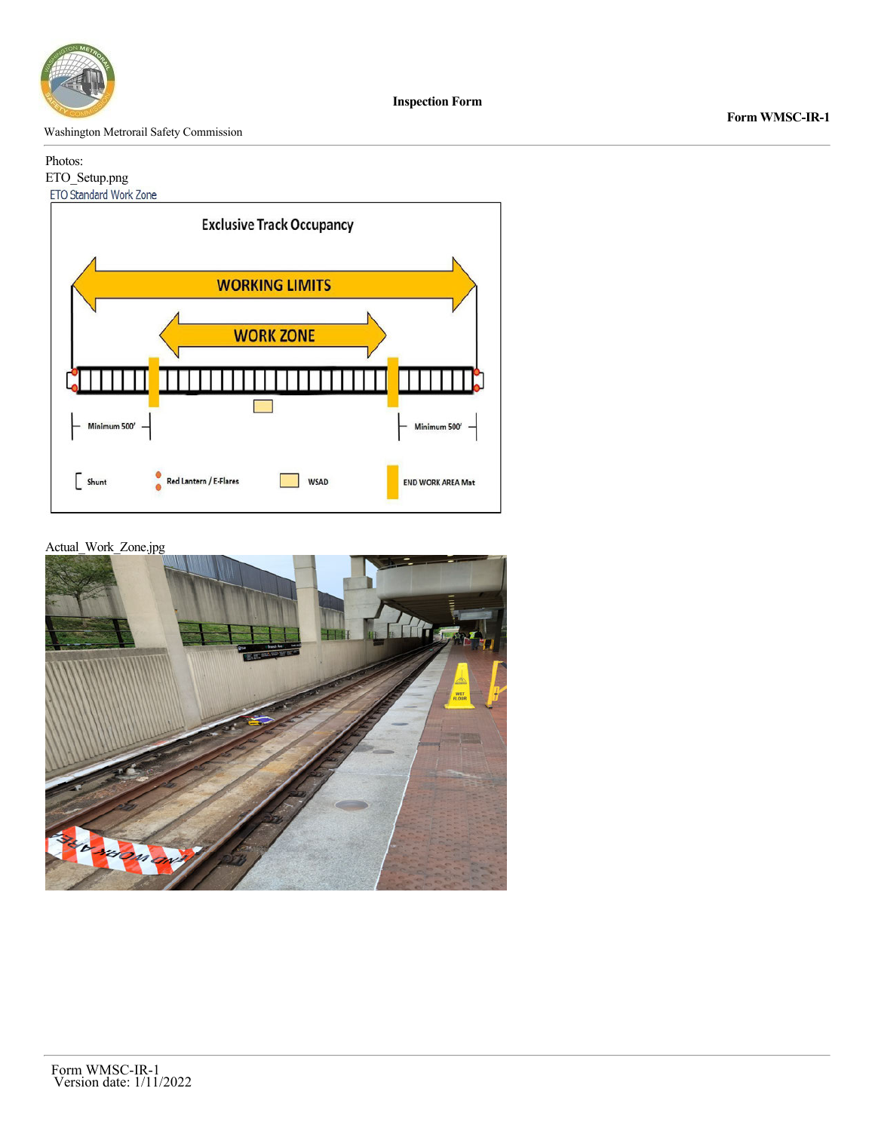

**Form WMSC-IR-1**

Washington Metrorail Safety Commission

## Photos:

# ETO\_Setup.png<br>ETO Standard Work Zone



Actual\_Work\_Zone.jpg

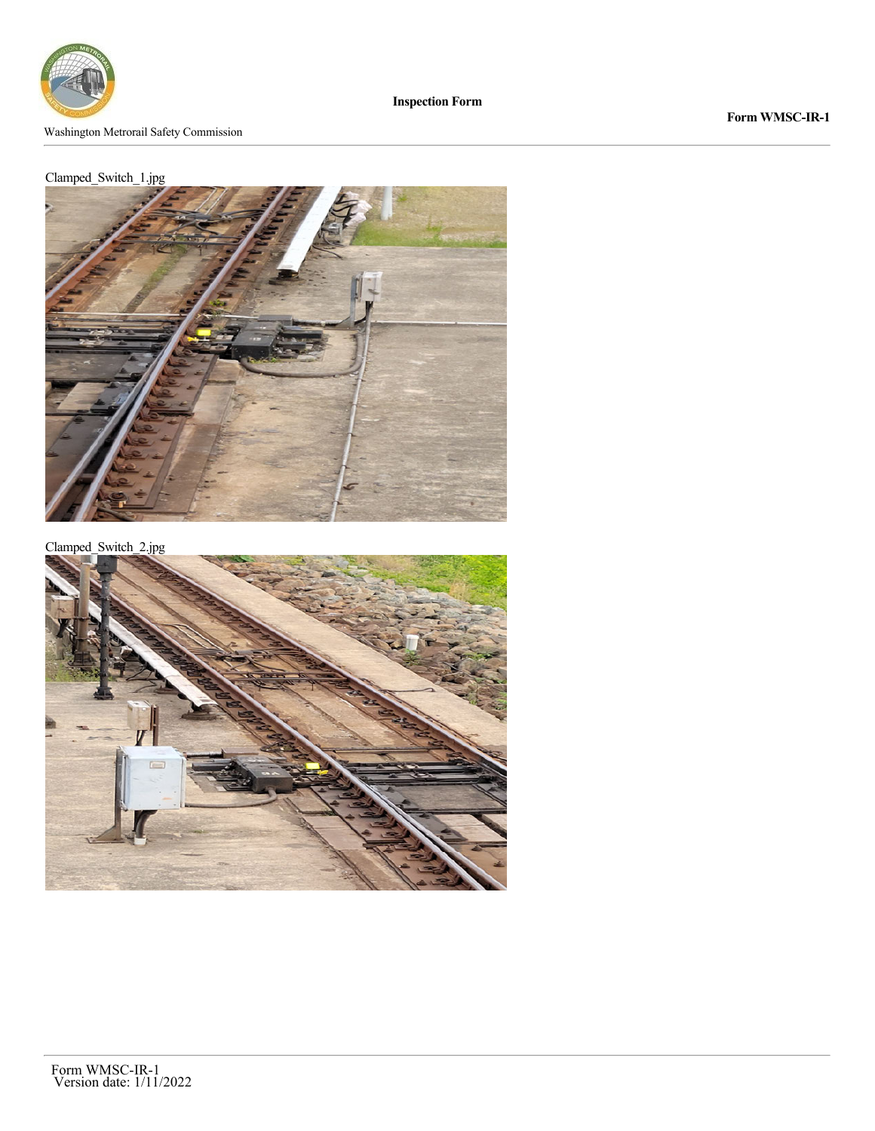

**Form WMSC-IR-1**

## Clamped\_Switch\_1.jpg



Clamped\_Switch\_2.jpg

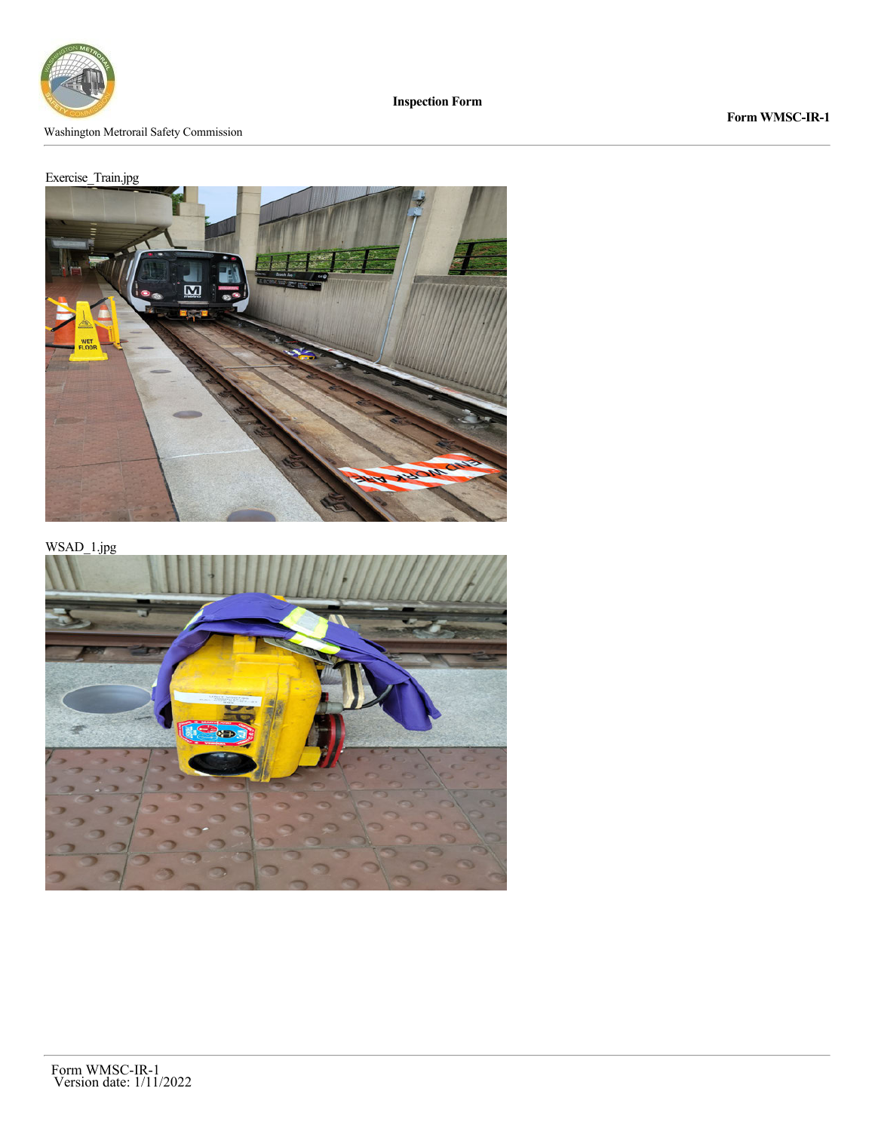

**Form WMSC-IR-1**

## Exercise\_Train.jpg



WSAD\_1.jpg

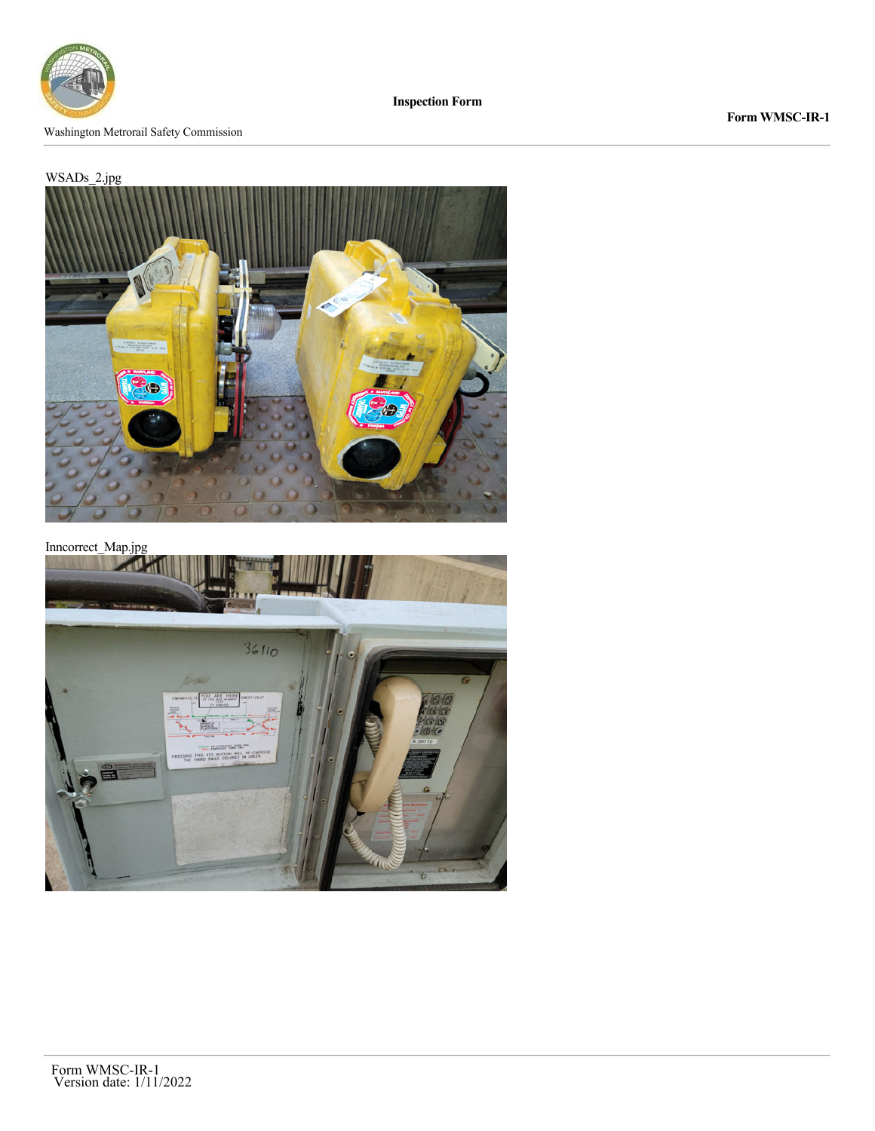

**Form WMSC-IR-1**

### WSADs\_2.jpg



Inncorrect\_Map.jpg